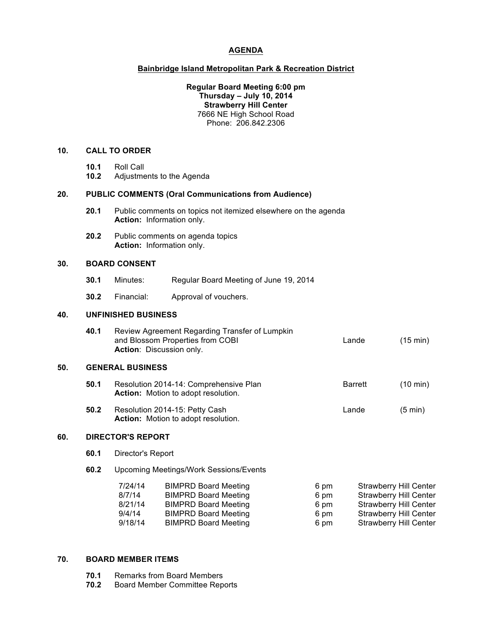# **AGENDA**

### **Bainbridge Island Metropolitan Park & Recreation District**

## **Regular Board Meeting 6:00 pm Thursday – July 10, 2014 Strawberry Hill Center** 7666 NE High School Road Phone: 206.842.2306

#### **10. CALL TO ORDER**

- **10.1** Roll Call
- **10.2** Adjustments to the Agenda

#### **20. PUBLIC COMMENTS (Oral Communications from Audience)**

- **20.1** Public comments on topics not itemized elsewhere on the agenda **Action:** Information only.
- **20.2** Public comments on agenda topics **Action:** Information only.

## **30. BOARD CONSENT**

- **30.1** Minutes: Regular Board Meeting of June 19, 2014
- **30.2** Financial: Approval of vouchers.

# **40. UNFINISHED BUSINESS**

| 40.1 | Review Agreement Regarding Transfer of Lumpkin |       |                    |  |
|------|------------------------------------------------|-------|--------------------|--|
|      | and Blossom Properties from COBI               | Lande | $(15 \text{ min})$ |  |
|      | <b>Action:</b> Discussion only.                |       |                    |  |

### **50. GENERAL BUSINESS**

- **50.1** Resolution 2014-14: Comprehensive Plan Barrett (10 min) **Action:** Motion to adopt resolution.
- **50.2** Resolution 2014-15: Petty Cash Lande Lande (5 min) **Action:** Motion to adopt resolution.

# **60. DIRECTOR'S REPORT**

- **60.1** Director's Report
- **60.2** Upcoming Meetings/Work Sessions/Events

| <b>BIMPRD Board Meeting</b> | 6 pm | <b>Strawberry Hill Center</b> |
|-----------------------------|------|-------------------------------|
| <b>BIMPRD Board Meeting</b> | 6 pm | <b>Strawberry Hill Center</b> |
| <b>BIMPRD Board Meeting</b> | 6 pm | <b>Strawberry Hill Center</b> |
| <b>BIMPRD Board Meeting</b> | 6 pm | <b>Strawberry Hill Center</b> |
| <b>BIMPRD Board Meeting</b> | 6 pm | <b>Strawberry Hill Center</b> |
|                             |      |                               |

#### **70. BOARD MEMBER ITEMS**

- **70.1** Remarks from Board Members
- **70.2** Board Member Committee Reports